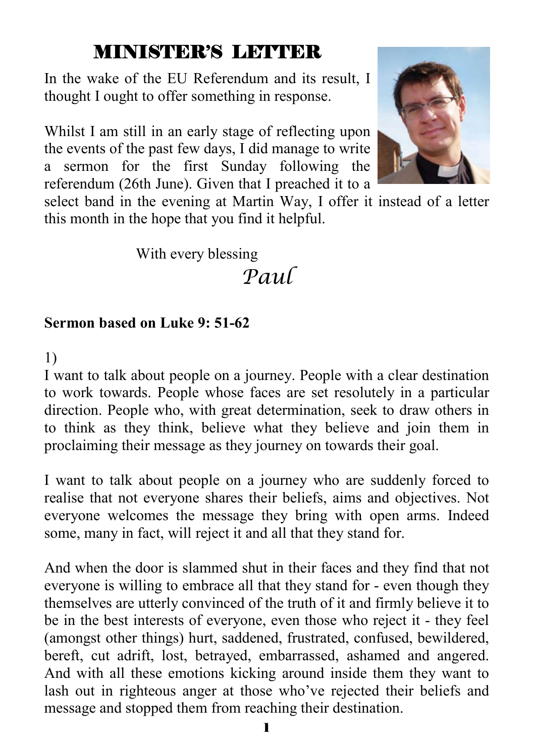## MINISTER'S LETTER

In the wake of the EU Referendum and its result, I thought I ought to offer something in response.

Whilst I am still in an early stage of reflecting upon the events of the past few days, I did manage to write a sermon for the first Sunday following the referendum (26th June). Given that I preached it to a



select band in the evening at Martin Way, I offer it instead of a letter this month in the hope that you find it helpful.

With every blessing

## *Paul*

#### **Sermon based on Luke 9: 51-62**

1)

I want to talk about people on a journey. People with a clear destination to work towards. People whose faces are set resolutely in a particular direction. People who, with great determination, seek to draw others in to think as they think, believe what they believe and join them in proclaiming their message as they journey on towards their goal.

I want to talk about people on a journey who are suddenly forced to realise that not everyone shares their beliefs, aims and objectives. Not everyone welcomes the message they bring with open arms. Indeed some, many in fact, will reject it and all that they stand for.

And when the door is slammed shut in their faces and they find that not everyone is willing to embrace all that they stand for - even though they themselves are utterly convinced of the truth of it and firmly believe it to be in the best interests of everyone, even those who reject it - they feel (amongst other things) hurt, saddened, frustrated, confused, bewildered, bereft, cut adrift, lost, betrayed, embarrassed, ashamed and angered. And with all these emotions kicking around inside them they want to lash out in righteous anger at those who've rejected their beliefs and message and stopped them from reaching their destination.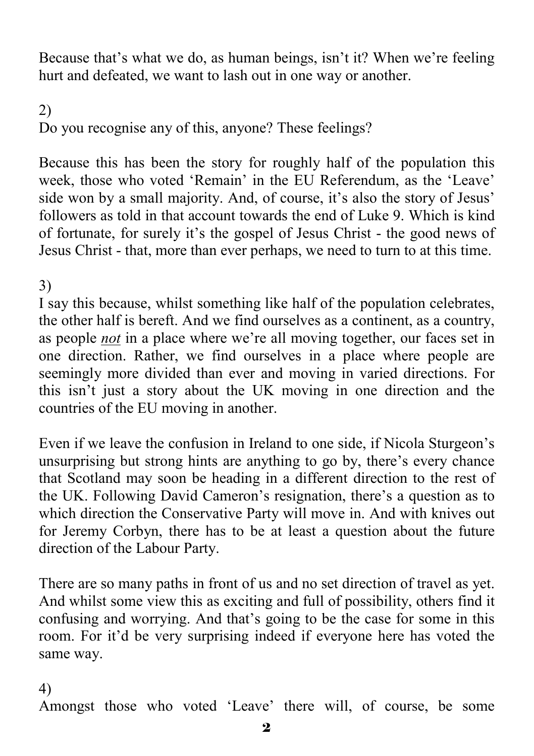Because that's what we do, as human beings, isn't it? When we're feeling hurt and defeated, we want to lash out in one way or another.

2) Do you recognise any of this, anyone? These feelings?

Because this has been the story for roughly half of the population this week, those who voted 'Remain' in the EU Referendum, as the 'Leave' side won by a small majority. And, of course, it's also the story of Jesus' followers as told in that account towards the end of Luke 9. Which is kind of fortunate, for surely it's the gospel of Jesus Christ - the good news of Jesus Christ - that, more than ever perhaps, we need to turn to at this time.

#### 3)

I say this because, whilst something like half of the population celebrates, the other half is bereft. And we find ourselves as a continent, as a country, as people *not* in a place where we're all moving together, our faces set in one direction. Rather, we find ourselves in a place where people are seemingly more divided than ever and moving in varied directions. For this isn't just a story about the UK moving in one direction and the countries of the EU moving in another.

Even if we leave the confusion in Ireland to one side, if Nicola Sturgeon's unsurprising but strong hints are anything to go by, there's every chance that Scotland may soon be heading in a different direction to the rest of the UK. Following David Cameron's resignation, there's a question as to which direction the Conservative Party will move in. And with knives out for Jeremy Corbyn, there has to be at least a question about the future direction of the Labour Party.

There are so many paths in front of us and no set direction of travel as yet. And whilst some view this as exciting and full of possibility, others find it confusing and worrying. And that's going to be the case for some in this room. For it'd be very surprising indeed if everyone here has voted the same way.

#### 4)

Amongst those who voted 'Leave' there will, of course, be some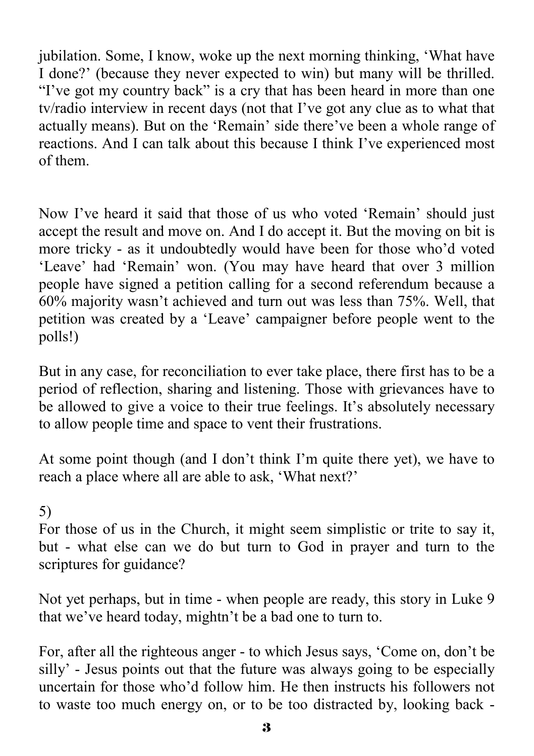jubilation. Some, I know, woke up the next morning thinking, 'What have I done?' (because they never expected to win) but many will be thrilled. "I've got my country back" is a cry that has been heard in more than one tv/radio interview in recent days (not that I've got any clue as to what that actually means). But on the 'Remain' side there've been a whole range of reactions. And I can talk about this because I think I've experienced most of them.

Now I've heard it said that those of us who voted 'Remain' should just accept the result and move on. And I do accept it. But the moving on bit is more tricky - as it undoubtedly would have been for those who'd voted 'Leave' had 'Remain' won. (You may have heard that over 3 million people have signed a petition calling for a second referendum because a 60% majority wasn't achieved and turn out was less than 75%. Well, that petition was created by a 'Leave' campaigner before people went to the polls!)

But in any case, for reconciliation to ever take place, there first has to be a period of reflection, sharing and listening. Those with grievances have to be allowed to give a voice to their true feelings. It's absolutely necessary to allow people time and space to vent their frustrations.

At some point though (and I don't think I'm quite there yet), we have to reach a place where all are able to ask, 'What next?'

#### 5)

For those of us in the Church, it might seem simplistic or trite to say it, but - what else can we do but turn to God in prayer and turn to the scriptures for guidance?

Not yet perhaps, but in time - when people are ready, this story in Luke 9 that we've heard today, mightn't be a bad one to turn to.

For, after all the righteous anger - to which Jesus says, 'Come on, don't be silly' - Jesus points out that the future was always going to be especially uncertain for those who'd follow him. He then instructs his followers not to waste too much energy on, or to be too distracted by, looking back -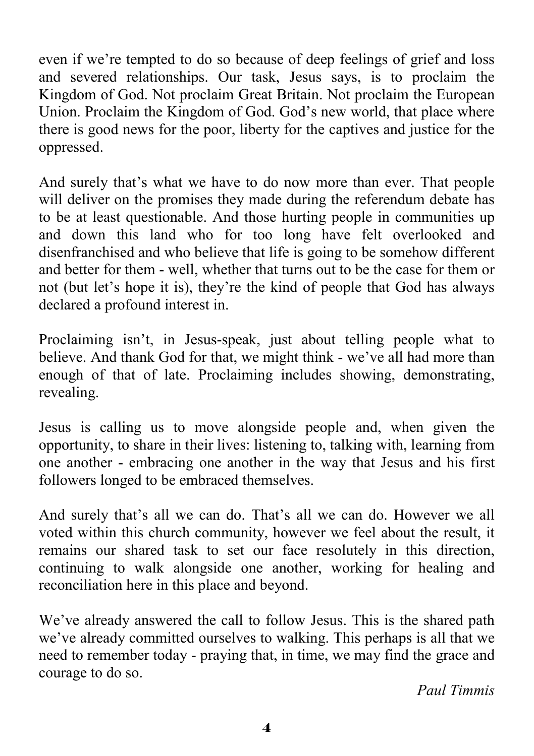even if we're tempted to do so because of deep feelings of grief and loss and severed relationships. Our task, Jesus says, is to proclaim the Kingdom of God. Not proclaim Great Britain. Not proclaim the European Union. Proclaim the Kingdom of God. God's new world, that place where there is good news for the poor, liberty for the captives and justice for the oppressed.

And surely that's what we have to do now more than ever. That people will deliver on the promises they made during the referendum debate has to be at least questionable. And those hurting people in communities up and down this land who for too long have felt overlooked and disenfranchised and who believe that life is going to be somehow different and better for them - well, whether that turns out to be the case for them or not (but let's hope it is), they're the kind of people that God has always declared a profound interest in.

Proclaiming isn't, in Jesus-speak, just about telling people what to believe. And thank God for that, we might think - we've all had more than enough of that of late. Proclaiming includes showing, demonstrating, revealing.

Jesus is calling us to move alongside people and, when given the opportunity, to share in their lives: listening to, talking with, learning from one another - embracing one another in the way that Jesus and his first followers longed to be embraced themselves.

And surely that's all we can do. That's all we can do. However we all voted within this church community, however we feel about the result, it remains our shared task to set our face resolutely in this direction, continuing to walk alongside one another, working for healing and reconciliation here in this place and beyond.

We've already answered the call to follow Jesus. This is the shared path we've already committed ourselves to walking. This perhaps is all that we need to remember today - praying that, in time, we may find the grace and courage to do so.

*Paul Timmis*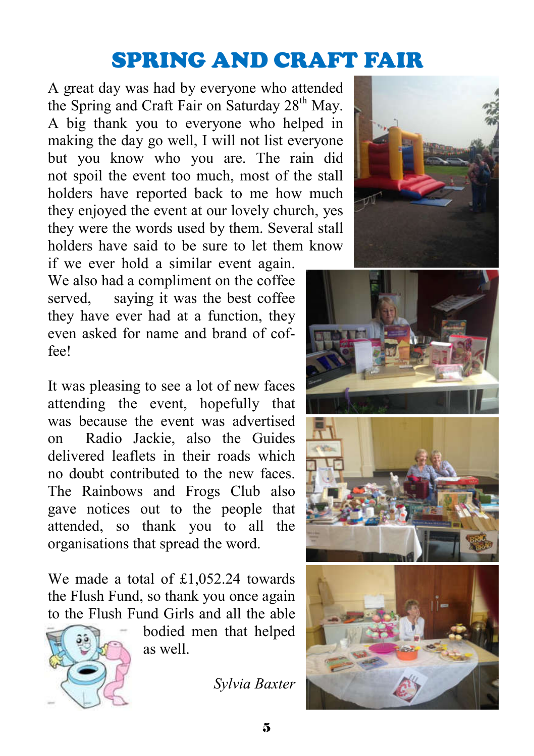# SPRING AND CRAFT FAIR

A great day was had by everyone who attended the Spring and Craft Fair on Saturday 28<sup>th</sup> May. A big thank you to everyone who helped in making the day go well, I will not list everyone but you know who you are. The rain did not spoil the event too much, most of the stall holders have reported back to me how much they enjoyed the event at our lovely church, yes they were the words used by them. Several stall holders have said to be sure to let them know

if we ever hold a similar event again. We also had a compliment on the coffee served, saying it was the best coffee they have ever had at a function, they even asked for name and brand of coffee!

It was pleasing to see a lot of new faces attending the event, hopefully that was because the event was advertised on Radio Jackie, also the Guides delivered leaflets in their roads which no doubt contributed to the new faces. The Rainbows and Frogs Club also gave notices out to the people that attended, so thank you to all the organisations that spread the word.

We made a total of £1,052.24 towards the Flush Fund, so thank you once again to the Flush Fund Girls and all the able



bodied men that helped as well.

*Sylvia Baxter*







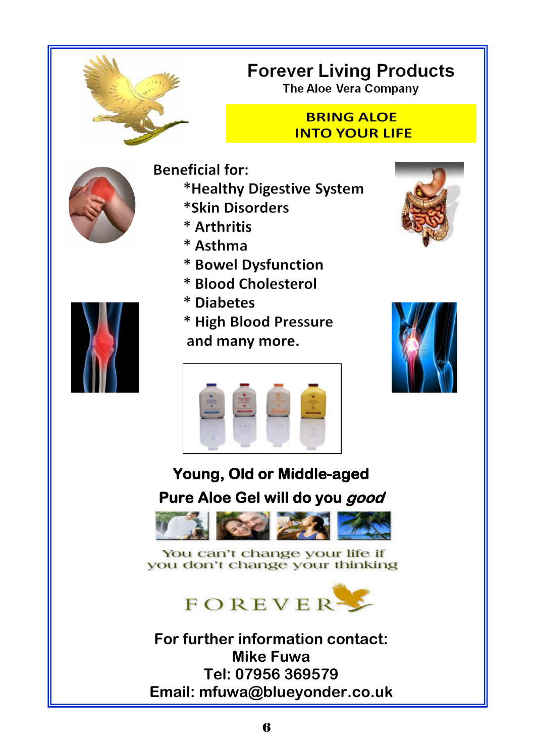

# **Forever Living Products**

**The Aloe Vera Company** 

#### **BRING ALOE INTO YOUR LIFE**



- **Beneficial for:** \*Healthy Digestive System \*Skin Disorders
	- \* Arthritis
	- \* Asthma
	- \* Bowel Dysfunction
	- \* Blood Cholesterol
	- \* Diabetes
	- \* High Blood Pressure and many more.







# **Young, Old or Middle-aged Pure Aloe Gel will do you good**



#### You can't change your life if you don't change your thinking



**For further information contact: Mike Fuwa Tel: 07956 369579 Email: mfuwa@blueyonder.co.uk** 

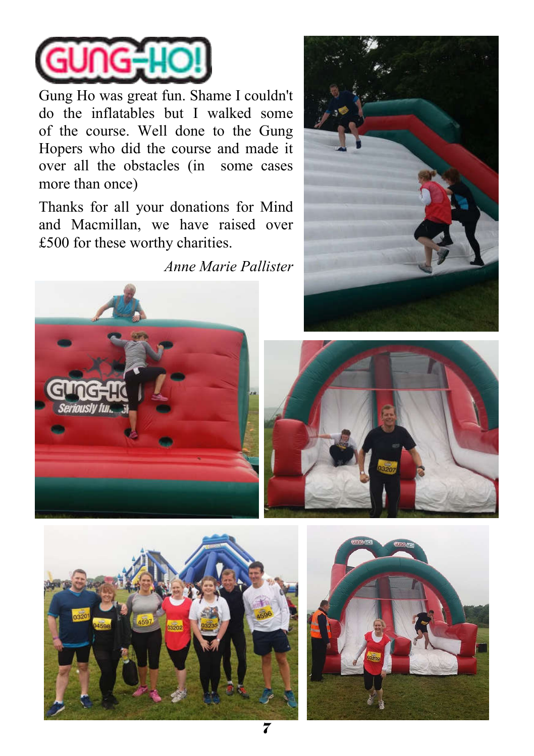

Gung Ho was great fun. Shame I couldn't do the inflatables but I walked some of the course. Well done to the Gung Hopers who did the course and made it over all the obstacles (in some cases more than once)

Thanks for all your donations for Mind and Macmillan, we have raised over £500 for these worthy charities.

*Anne Marie Pallister*









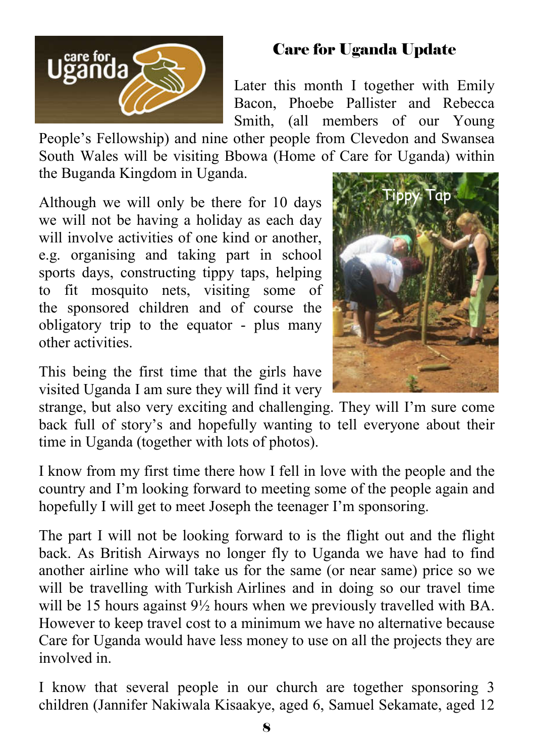

#### Care for Uganda Update

Later this month I together with Emily Bacon, Phoebe Pallister and Rebecca Smith, (all members of our Young

People's Fellowship) and nine other people from Clevedon and Swansea South Wales will be visiting Bbowa (Home of Care for Uganda) within the Buganda Kingdom in Uganda.

Although we will only be there for 10 days we will not be having a holiday as each day will involve activities of one kind or another, e.g. organising and taking part in school sports days, constructing tippy taps, helping to fit mosquito nets, visiting some of the sponsored children and of course the obligatory trip to the equator - plus many other activities.



This being the first time that the girls have visited Uganda I am sure they will find it very

strange, but also very exciting and challenging. They will I'm sure come back full of story's and hopefully wanting to tell everyone about their time in Uganda (together with lots of photos).

I know from my first time there how I fell in love with the people and the country and I'm looking forward to meeting some of the people again and hopefully I will get to meet Joseph the teenager I'm sponsoring.

The part I will not be looking forward to is the flight out and the flight back. As British Airways no longer fly to Uganda we have had to find another airline who will take us for the same (or near same) price so we will be travelling with Turkish Airlines and in doing so our travel time will be 15 hours against  $9\frac{1}{2}$  hours when we previously travelled with BA. However to keep travel cost to a minimum we have no alternative because Care for Uganda would have less money to use on all the projects they are involved in.

I know that several people in our church are together sponsoring 3 children (Jannifer Nakiwala Kisaakye, aged 6, Samuel Sekamate, aged 12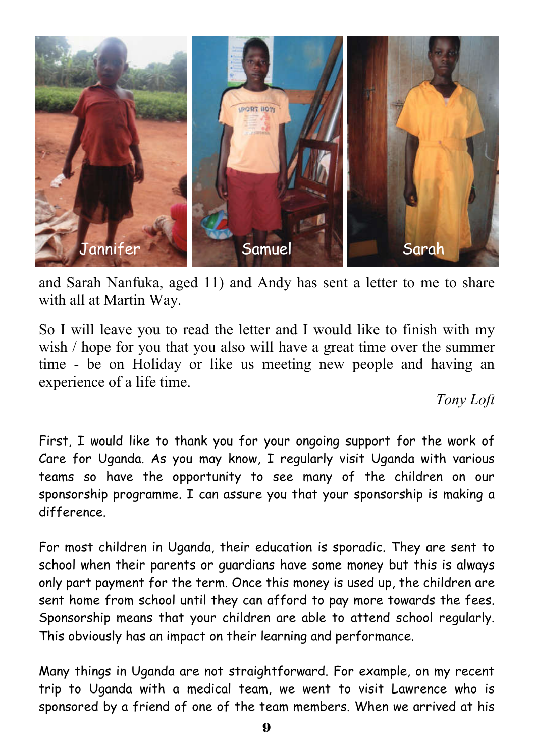

and Sarah Nanfuka, aged 11) and Andy has sent a letter to me to share with all at Martin Way.

So I will leave you to read the letter and I would like to finish with my wish / hope for you that you also will have a great time over the summer time - be on Holiday or like us meeting new people and having an experience of a life time.

#### *Tony Loft*

First, I would like to thank you for your ongoing support for the work of Care for Uganda. As you may know, I regularly visit Uganda with various teams so have the opportunity to see many of the children on our sponsorship programme. I can assure you that your sponsorship is making a difference.

For most children in Uganda, their education is sporadic. They are sent to school when their parents or guardians have some money but this is always only part payment for the term. Once this money is used up, the children are sent home from school until they can afford to pay more towards the fees. Sponsorship means that your children are able to attend school regularly. This obviously has an impact on their learning and performance.

Many things in Uganda are not straightforward. For example, on my recent trip to Uganda with a medical team, we went to visit Lawrence who is sponsored by a friend of one of the team members. When we arrived at his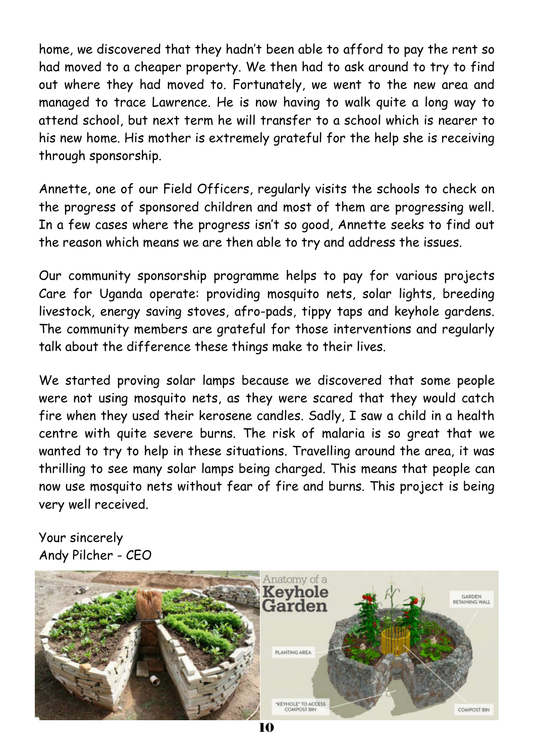home, we discovered that they hadn't been able to afford to pay the rent so had moved to a cheaper property. We then had to ask around to try to find out where they had moved to. Fortunately, we went to the new area and managed to trace Lawrence. He is now having to walk quite a long way to attend school, but next term he will transfer to a school which is nearer to his new home. His mother is extremely grateful for the help she is receiving through sponsorship.

Annette, one of our Field Officers, regularly visits the schools to check on the progress of sponsored children and most of them are progressing well. In a few cases where the progress isn't so good, Annette seeks to find out the reason which means we are then able to try and address the issues.

Our community sponsorship programme helps to pay for various projects Care for Uganda operate: providing mosquito nets, solar lights, breeding livestock, energy saving stoves, afro-pads, tippy taps and keyhole gardens. The community members are grateful for those interventions and regularly talk about the difference these things make to their lives.

We started proving solar lamps because we discovered that some people were not using mosquito nets, as they were scared that they would catch fire when they used their kerosene candles. Sadly, I saw a child in a health centre with quite severe burns. The risk of malaria is so great that we wanted to try to help in these situations. Travelling around the area, it was thrilling to see many solar lamps being charged. This means that people can now use mosquito nets without fear of fire and burns. This project is being very well received.

Your sincerely Andy Pilcher - CEO

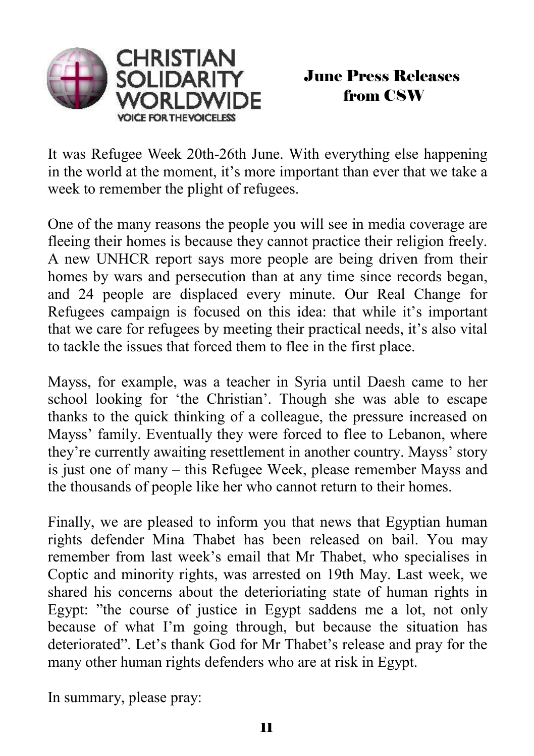

It was Refugee Week 20th-26th June. With everything else happening in the world at the moment, it's more important than ever that we take a week to remember the plight of refugees.

One of the many reasons the people you will see in media coverage are fleeing their homes is because they cannot practice their religion freely. A new UNHCR report says more people are being driven from their homes by wars and persecution than at any time since records began, and 24 people are displaced every minute. Our Real Change for Refugees campaign is focused on this idea: that while it's important that we care for refugees by meeting their practical needs, it's also vital to tackle the issues that forced them to flee in the first place.

Mayss, for example, was a teacher in Syria until Daesh came to her school looking for 'the Christian'. Though she was able to escape thanks to the quick thinking of a colleague, the pressure increased on Mayss' family. Eventually they were forced to flee to Lebanon, where they're currently awaiting resettlement in another country. Mayss' story is just one of many – this Refugee Week, please remember Mayss and the thousands of people like her who cannot return to their homes.

Finally, we are pleased to inform you that news that Egyptian human rights defender Mina Thabet has been released on bail. You may remember from last week's email that Mr Thabet, who specialises in Coptic and minority rights, was arrested on 19th May. Last week, we shared his concerns about the deterioriating state of human rights in Egypt: "the course of justice in Egypt saddens me a lot, not only because of what I'm going through, but because the situation has deteriorated". Let's thank God for Mr Thabet's release and pray for the many other human rights defenders who are at risk in Egypt.

In summary, please pray: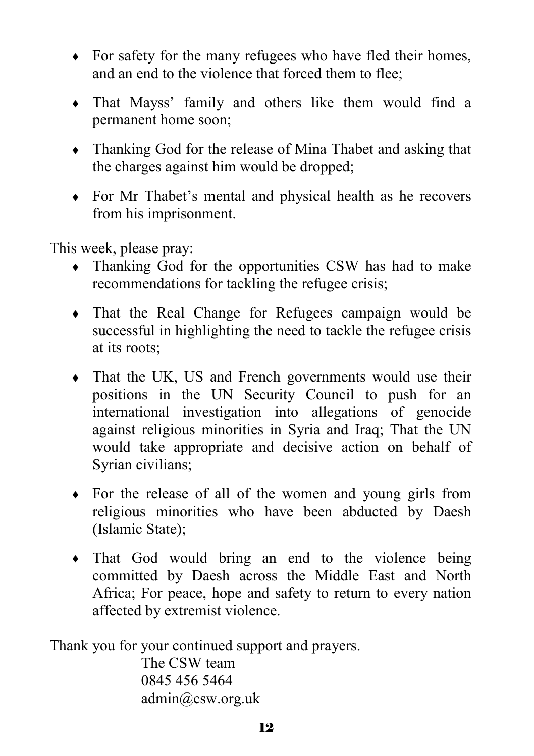- For safety for the many refugees who have fled their homes, and an end to the violence that forced them to flee;
- That Mayss' family and others like them would find a permanent home soon;
- Thanking God for the release of Mina Thabet and asking that the charges against him would be dropped;
- For Mr Thabet's mental and physical health as he recovers from his imprisonment.

This week, please pray:

- Thanking God for the opportunities CSW has had to make recommendations for tackling the refugee crisis;
- That the Real Change for Refugees campaign would be successful in highlighting the need to tackle the refugee crisis at its roots;
- That the UK, US and French governments would use their positions in the UN Security Council to push for an international investigation into allegations of genocide against religious minorities in Syria and Iraq; That the UN would take appropriate and decisive action on behalf of Syrian civilians;
- For the release of all of the women and young girls from religious minorities who have been abducted by Daesh (Islamic State);
- That God would bring an end to the violence being committed by Daesh across the Middle East and North Africa; For peace, hope and safety to return to every nation affected by extremist violence.

Thank you for your continued support and prayers.

The CSW team 0845 456 5464 admin@csw.org.uk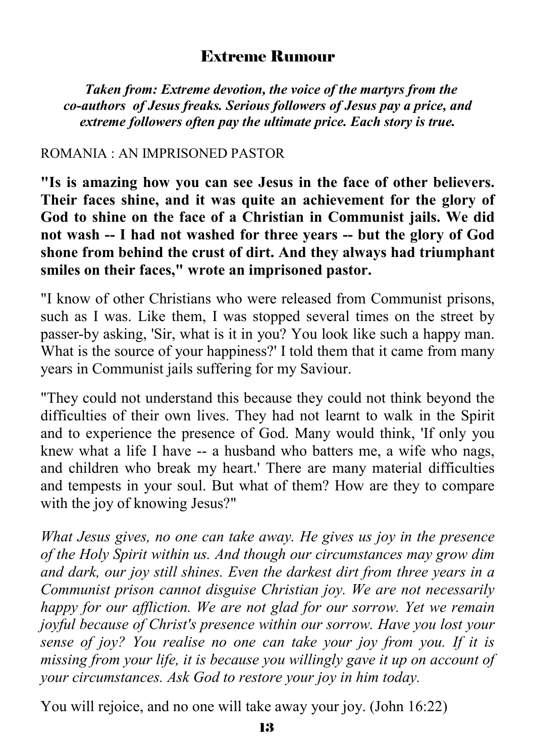#### Extreme Rumour

 *Taken from: Extreme devotion, the voice of the martyrs from the co-authors of Jesus freaks. Serious followers of Jesus pay a price, and extreme followers often pay the ultimate price. Each story is true.*

#### ROMANIA : AN IMPRISONED PASTOR

**"Is is amazing how you can see Jesus in the face of other believers. Their faces shine, and it was quite an achievement for the glory of God to shine on the face of a Christian in Communist jails. We did not wash -- I had not washed for three years -- but the glory of God shone from behind the crust of dirt. And they always had triumphant smiles on their faces," wrote an imprisoned pastor.**

"I know of other Christians who were released from Communist prisons, such as I was. Like them, I was stopped several times on the street by passer-by asking, 'Sir, what is it in you? You look like such a happy man. What is the source of your happiness?' I told them that it came from many years in Communist jails suffering for my Saviour.

"They could not understand this because they could not think beyond the difficulties of their own lives. They had not learnt to walk in the Spirit and to experience the presence of God. Many would think, 'If only you knew what a life I have -- a husband who batters me, a wife who nags, and children who break my heart.' There are many material difficulties and tempests in your soul. But what of them? How are they to compare with the joy of knowing Jesus?"

*What Jesus gives, no one can take away. He gives us joy in the presence of the Holy Spirit within us. And though our circumstances may grow dim and dark, our joy still shines. Even the darkest dirt from three years in a Communist prison cannot disguise Christian joy. We are not necessarily happy for our affliction. We are not glad for our sorrow. Yet we remain joyful because of Christ's presence within our sorrow. Have you lost your sense of joy? You realise no one can take your joy from you. If it is missing from your life, it is because you willingly gave it up on account of your circumstances. Ask God to restore your joy in him today.*

You will rejoice, and no one will take away your joy. (John 16:22)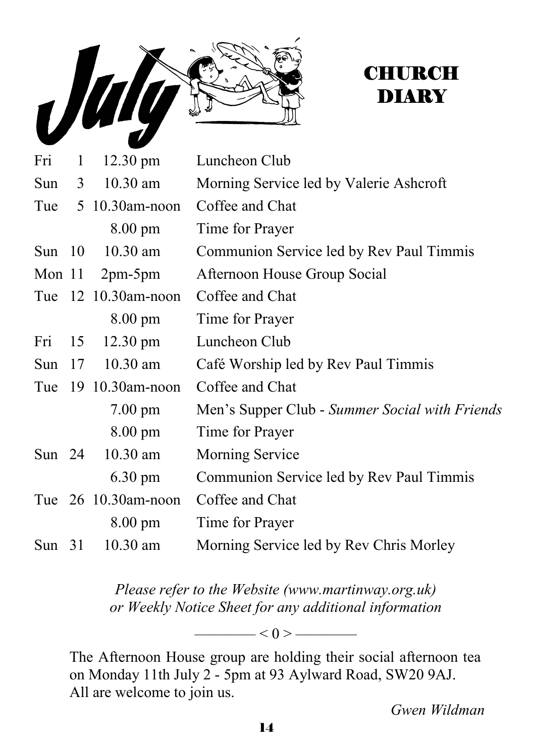

# **CHURCH DIARY**

| Fri      | $\mathbf{1}$ | $12.30 \text{ pm}$      | Luncheon Club                                  |
|----------|--------------|-------------------------|------------------------------------------------|
|          |              | Sun 3 10.30 am          | Morning Service led by Valerie Ashcroft        |
|          |              | Tue $5 \t10.30$ am-noon | Coffee and Chat                                |
|          |              | 8.00 pm                 | Time for Prayer                                |
| Sun $10$ |              | $10.30$ am              | Communion Service led by Rev Paul Timmis       |
|          |              | Mon $11$ 2pm-5pm        | Afternoon House Group Social                   |
|          |              | Tue 12 10.30am-noon     | Coffee and Chat                                |
|          |              | 8.00 pm                 | Time for Prayer                                |
| Fri      | 15           | $12.30 \text{ pm}$      | Luncheon Club                                  |
| Sun $17$ |              | $10.30$ am              | Café Worship led by Rev Paul Timmis            |
|          |              | Tue 19 10.30am-noon     | Coffee and Chat                                |
|          |              | $7.00 \text{ pm}$       | Men's Supper Club - Summer Social with Friends |
|          |              | $8.00 \text{ pm}$       | Time for Prayer                                |
| Sun $24$ |              | $10.30$ am              | <b>Morning Service</b>                         |
|          |              | $6.30 \text{ pm}$       | Communion Service led by Rev Paul Timmis       |
|          |              | Tue 26 10.30am-noon     | Coffee and Chat                                |
|          |              | $8.00 \text{ pm}$       | Time for Prayer                                |
| Sun $31$ |              | $10.30$ am              | Morning Service led by Rev Chris Morley        |

*Please refer to the Website (www.martinway.org.uk) or Weekly Notice Sheet for any additional information*

 $\longrightarrow$  < 0 >  $\longrightarrow$ 

The Afternoon House group are holding their social afternoon tea on Monday 11th July 2 - 5pm at 93 Aylward Road, SW20 9AJ. All are welcome to join us.

*Gwen Wildman*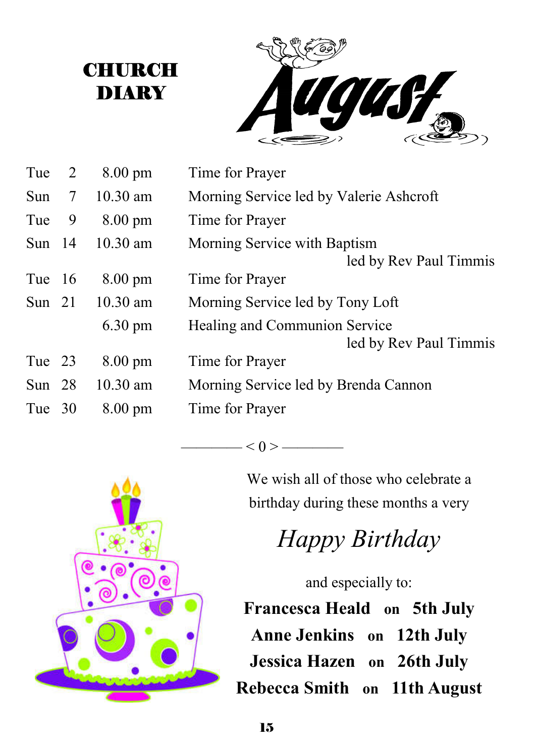**CHURCH** DIARY



| Tue 2    |   | $8.00 \text{ pm}$ | Time for Prayer                                         |
|----------|---|-------------------|---------------------------------------------------------|
| Sun $7$  |   | $10.30$ am        | Morning Service led by Valerie Ashcroft                 |
| Tue      | 9 | $8.00 \text{ pm}$ | Time for Prayer                                         |
| Sun $14$ |   | $10.30$ am        | Morning Service with Baptism<br>led by Rev Paul Timmis  |
| Tue 16   |   | $8.00 \text{ pm}$ | Time for Prayer                                         |
| Sun $21$ |   | $10.30$ am        | Morning Service led by Tony Loft                        |
|          |   | $6.30 \text{ pm}$ | Healing and Communion Service<br>led by Rev Paul Timmis |
| Tue 23   |   | $8.00 \text{ pm}$ | Time for Prayer                                         |
| Sun $28$ |   | $10.30$ am        | Morning Service led by Brenda Cannon                    |
| Tue 30   |   | $8.00 \text{ pm}$ | Time for Prayer                                         |

 $-$  < 0 > —



# *Happy Birthday*

and especially to:

**Francesca Heald on 5th July Anne Jenkins on 12th July Jessica Hazen on 26th July Rebecca Smith on 11th August**